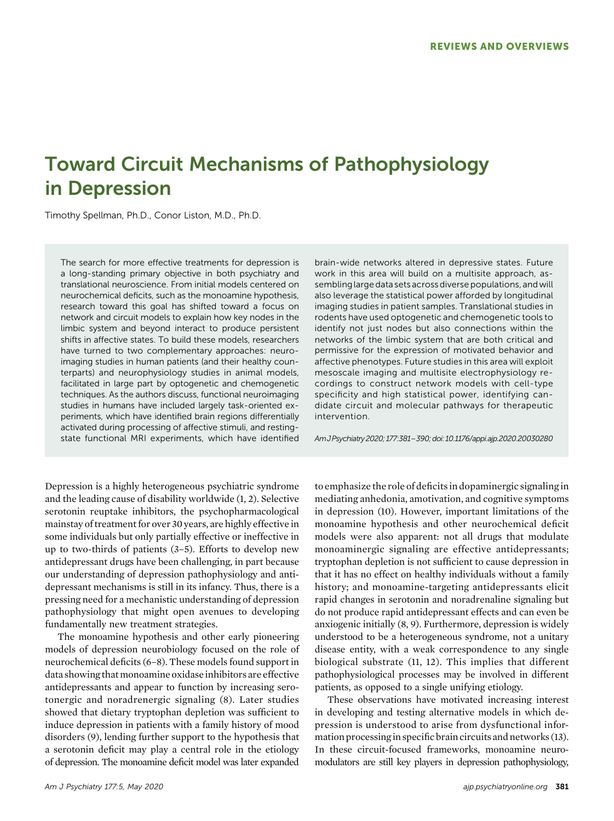# Toward Circuit Mechanisms of Pathophysiology in Depression

Timothy Spellman, Ph.D., Conor Liston, M.D., Ph.D.

The search for more effective treatments for depression is a long-standing primary objective in both psychiatry and translational neuroscience. From initial models centered on neurochemical deficits, such as the monoamine hypothesis, research toward this goal has shifted toward a focus on network and circuit models to explain how key nodes in the limbic system and beyond interact to produce persistent shifts in affective states. To build these models, researchers have turned to two complementary approaches: neuroimaging studies in human patients (and their healthy counterparts) and neurophysiology studies in animal models, facilitated in large part by optogenetic and chemogenetic techniques. As the authors discuss, functional neuroimaging studies in humans have included largely task-oriented experiments, which have identified brain regions differentially activated during processing of affective stimuli, and restingstate functional MRI experiments, which have identified

brain-wide networks altered in depressive states. Future work in this area will build on a multisite approach, assembling large data sets across diverse populations, and will also leverage the statistical power afforded by longitudinal imaging studies in patient samples. Translational studies in rodents have used optogenetic and chemogenetic tools to identify not just nodes but also connections within the networks of the limbic system that are both critical and permissive for the expression of motivated behavior and affective phenotypes. Future studies in this area will exploit mesoscale imaging and multisite electrophysiology recordings to construct network models with cell-type specificity and high statistical power, identifying candidate circuit and molecular pathways for therapeutic intervention.

AmJPsychiatry2020;177:381–390;doi:10.1176/appi.ajp.2020.20030280

Depression is a highly heterogeneous psychiatric syndrome and the leading cause of disability worldwide (1, 2). Selective serotonin reuptake inhibitors, the psychopharmacological mainstay of treatment for over 30 years, are highly effective in some individuals but only partially effective or ineffective in up to two-thirds of patients (3–5). Efforts to develop new antidepressant drugs have been challenging, in part because our understanding of depression pathophysiology and antidepressant mechanisms is still in its infancy. Thus, there is a pressing need for a mechanistic understanding of depression pathophysiology that might open avenues to developing fundamentally new treatment strategies.

The monoamine hypothesis and other early pioneering models of depression neurobiology focused on the role of neurochemical deficits (6–8). These models found support in data showing that monoamine oxidaseinhibitors are effective antidepressants and appear to function by increasing serotonergic and noradrenergic signaling (8). Later studies showed that dietary tryptophan depletion was sufficient to induce depression in patients with a family history of mood disorders (9), lending further support to the hypothesis that a serotonin deficit may play a central role in the etiology of depression. The monoamine deficit model was later expanded

to emphasize the role of deficits in dopaminergic signaling in mediating anhedonia, amotivation, and cognitive symptoms in depression (10). However, important limitations of the monoamine hypothesis and other neurochemical deficit models were also apparent: not all drugs that modulate monoaminergic signaling are effective antidepressants; tryptophan depletion is not sufficient to cause depression in that it has no effect on healthy individuals without a family history; and monoamine-targeting antidepressants elicit rapid changes in serotonin and noradrenaline signaling but do not produce rapid antidepressant effects and can even be anxiogenic initially (8, 9). Furthermore, depression is widely understood to be a heterogeneous syndrome, not a unitary disease entity, with a weak correspondence to any single biological substrate (11, 12). This implies that different pathophysiological processes may be involved in different patients, as opposed to a single unifying etiology.

These observations have motivated increasing interest in developing and testing alternative models in which depression is understood to arise from dysfunctional information processingin specific brain circuits and networks (13). In these circuit-focused frameworks, monoamine neuromodulators are still key players in depression pathophysiology,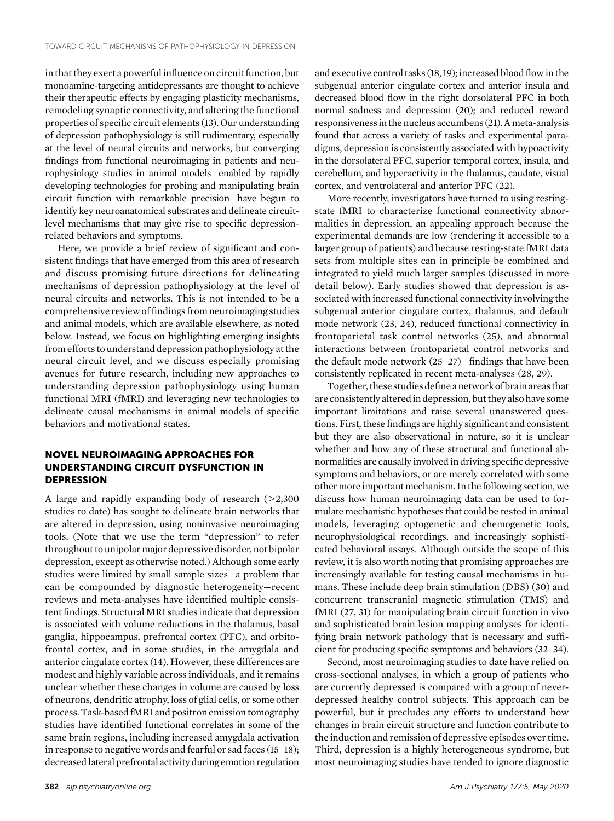in that they exert a powerful influence on circuit function, but monoamine-targeting antidepressants are thought to achieve their therapeutic effects by engaging plasticity mechanisms, remodeling synaptic connectivity, and altering the functional properties of specific circuit elements (13). Our understanding of depression pathophysiology is still rudimentary, especially at the level of neural circuits and networks, but converging findings from functional neuroimaging in patients and neurophysiology studies in animal models—enabled by rapidly developing technologies for probing and manipulating brain circuit function with remarkable precision—have begun to identify key neuroanatomical substrates and delineate circuitlevel mechanisms that may give rise to specific depressionrelated behaviors and symptoms.

Here, we provide a brief review of significant and consistent findings that have emerged from this area of research and discuss promising future directions for delineating mechanisms of depression pathophysiology at the level of neural circuits and networks. This is not intended to be a comprehensive review of findings from neuroimaging studies and animal models, which are available elsewhere, as noted below. Instead, we focus on highlighting emerging insights from efforts to understand depression pathophysiology at the neural circuit level, and we discuss especially promising avenues for future research, including new approaches to understanding depression pathophysiology using human functional MRI (fMRI) and leveraging new technologies to delineate causal mechanisms in animal models of specific behaviors and motivational states.

# NOVEL NEUROIMAGING APPROACHES FOR UNDERSTANDING CIRCUIT DYSFUNCTION IN **DEPRESSION**

A large and rapidly expanding body of research  $(>2,300$ studies to date) has sought to delineate brain networks that are altered in depression, using noninvasive neuroimaging tools. (Note that we use the term "depression" to refer throughout to unipolar major depressive disorder, not bipolar depression, except as otherwise noted.) Although some early studies were limited by small sample sizes—a problem that can be compounded by diagnostic heterogeneity—recent reviews and meta-analyses have identified multiple consistent findings. Structural MRI studies indicate that depression is associated with volume reductions in the thalamus, basal ganglia, hippocampus, prefrontal cortex (PFC), and orbitofrontal cortex, and in some studies, in the amygdala and anterior cingulate cortex (14). However, these differences are modest and highly variable across individuals, and it remains unclear whether these changes in volume are caused by loss of neurons, dendritic atrophy, loss of glial cells, or some other process. Task-based fMRI and positron emission tomography studies have identified functional correlates in some of the same brain regions, including increased amygdala activation in response to negative words and fearful or sad faces (15–18); decreased lateral prefrontal activity during emotion regulation

and executive control tasks (18, 19); increased blood flow in the subgenual anterior cingulate cortex and anterior insula and decreased blood flow in the right dorsolateral PFC in both normal sadness and depression (20); and reduced reward responsivenessin the nucleus accumbens (21). Ameta-analysis found that across a variety of tasks and experimental paradigms, depression is consistently associated with hypoactivity in the dorsolateral PFC, superior temporal cortex, insula, and cerebellum, and hyperactivity in the thalamus, caudate, visual cortex, and ventrolateral and anterior PFC (22).

More recently, investigators have turned to using restingstate fMRI to characterize functional connectivity abnormalities in depression, an appealing approach because the experimental demands are low (rendering it accessible to a larger group of patients) and because resting-state fMRI data sets from multiple sites can in principle be combined and integrated to yield much larger samples (discussed in more detail below). Early studies showed that depression is associated with increased functional connectivity involving the subgenual anterior cingulate cortex, thalamus, and default mode network (23, 24), reduced functional connectivity in frontoparietal task control networks (25), and abnormal interactions between frontoparietal control networks and the default mode network (25–27)—findings that have been consistently replicated in recent meta-analyses (28, 29).

Together, these studies define a network of brain areas that are consistently alteredin depression, but they also have some important limitations and raise several unanswered questions. First, these findings are highly significant and consistent but they are also observational in nature, so it is unclear whether and how any of these structural and functional abnormalities are causally involved in driving specific depressive symptoms and behaviors, or are merely correlated with some other more important mechanism. In the following section, we discuss how human neuroimaging data can be used to formulate mechanistic hypotheses that could be tested in animal models, leveraging optogenetic and chemogenetic tools, neurophysiological recordings, and increasingly sophisticated behavioral assays. Although outside the scope of this review, it is also worth noting that promising approaches are increasingly available for testing causal mechanisms in humans. These include deep brain stimulation (DBS) (30) and concurrent transcranial magnetic stimulation (TMS) and fMRI (27, 31) for manipulating brain circuit function in vivo and sophisticated brain lesion mapping analyses for identifying brain network pathology that is necessary and sufficient for producing specific symptoms and behaviors (32–34).

Second, most neuroimaging studies to date have relied on cross-sectional analyses, in which a group of patients who are currently depressed is compared with a group of neverdepressed healthy control subjects. This approach can be powerful, but it precludes any efforts to understand how changes in brain circuit structure and function contribute to the induction and remission of depressive episodes over time. Third, depression is a highly heterogeneous syndrome, but most neuroimaging studies have tended to ignore diagnostic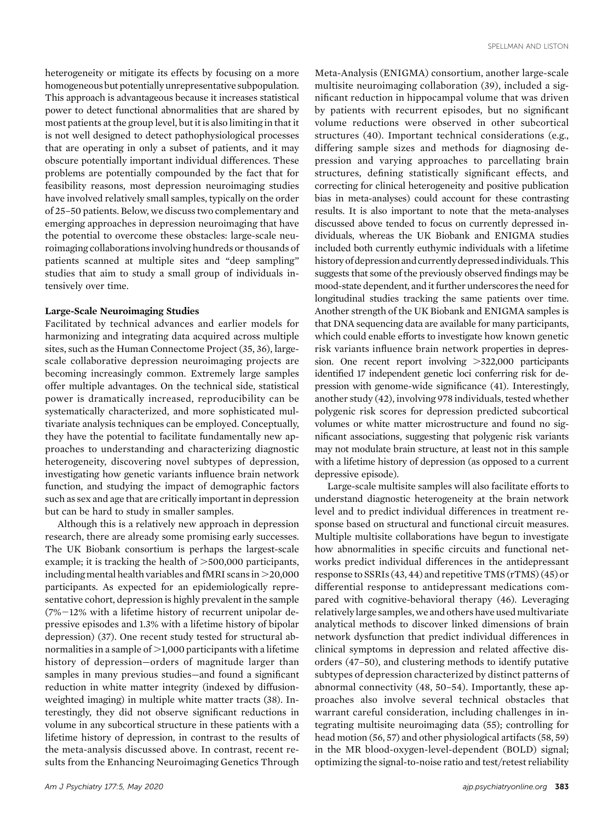heterogeneity or mitigate its effects by focusing on a more homogeneous but potentially unrepresentative subpopulation. This approach is advantageous because it increases statistical power to detect functional abnormalities that are shared by most patients at the group level, but it is also limiting in that it is not well designed to detect pathophysiological processes that are operating in only a subset of patients, and it may obscure potentially important individual differences. These problems are potentially compounded by the fact that for feasibility reasons, most depression neuroimaging studies have involved relatively small samples, typically on the order of 25–50 patients. Below, we discuss two complementary and emerging approaches in depression neuroimaging that have the potential to overcome these obstacles: large-scale neuroimaging collaborations involving hundreds or thousands of patients scanned at multiple sites and "deep sampling" studies that aim to study a small group of individuals intensively over time.

#### Large-Scale Neuroimaging Studies

Facilitated by technical advances and earlier models for harmonizing and integrating data acquired across multiple sites, such as the Human Connectome Project (35, 36), largescale collaborative depression neuroimaging projects are becoming increasingly common. Extremely large samples offer multiple advantages. On the technical side, statistical power is dramatically increased, reproducibility can be systematically characterized, and more sophisticated multivariate analysis techniques can be employed. Conceptually, they have the potential to facilitate fundamentally new approaches to understanding and characterizing diagnostic heterogeneity, discovering novel subtypes of depression, investigating how genetic variants influence brain network function, and studying the impact of demographic factors such as sex and age that are critically important in depression but can be hard to study in smaller samples.

Although this is a relatively new approach in depression research, there are already some promising early successes. The UK Biobank consortium is perhaps the largest-scale example; it is tracking the health of  $>500,000$  participants, including mental health variables and fMRI scans in  $>$ 20,000 participants. As expected for an epidemiologically representative cohort, depression is highly prevalent in the sample  $(7\%-12\%)$  with a lifetime history of recurrent unipolar depressive episodes and 1.3% with a lifetime history of bipolar depression) (37). One recent study tested for structural abnormalities in a sample of  $>1,000$  participants with a lifetime history of depression—orders of magnitude larger than samples in many previous studies—and found a significant reduction in white matter integrity (indexed by diffusionweighted imaging) in multiple white matter tracts (38). Interestingly, they did not observe significant reductions in volume in any subcortical structure in these patients with a lifetime history of depression, in contrast to the results of the meta-analysis discussed above. In contrast, recent results from the Enhancing Neuroimaging Genetics Through

multisite neuroimaging collaboration (39), included a significant reduction in hippocampal volume that was driven by patients with recurrent episodes, but no significant volume reductions were observed in other subcortical structures (40). Important technical considerations (e.g., differing sample sizes and methods for diagnosing depression and varying approaches to parcellating brain structures, defining statistically significant effects, and correcting for clinical heterogeneity and positive publication bias in meta-analyses) could account for these contrasting results. It is also important to note that the meta-analyses discussed above tended to focus on currently depressed individuals, whereas the UK Biobank and ENIGMA studies included both currently euthymic individuals with a lifetime history of depression and currently depressed individuals. This suggests that some of the previously observed findings may be mood-state dependent, and it further underscores the need for longitudinal studies tracking the same patients over time. Another strength of the UK Biobank and ENIGMA samples is that DNA sequencing data are available for many participants, which could enable efforts to investigate how known genetic risk variants influence brain network properties in depression. One recent report involving  $>322,000$  participants identified 17 independent genetic loci conferring risk for depression with genome-wide significance (41). Interestingly, another study (42), involving 978 individuals, tested whether polygenic risk scores for depression predicted subcortical volumes or white matter microstructure and found no significant associations, suggesting that polygenic risk variants may not modulate brain structure, at least not in this sample with a lifetime history of depression (as opposed to a current depressive episode).

Meta-Analysis (ENIGMA) consortium, another large-scale

Large-scale multisite samples will also facilitate efforts to understand diagnostic heterogeneity at the brain network level and to predict individual differences in treatment response based on structural and functional circuit measures. Multiple multisite collaborations have begun to investigate how abnormalities in specific circuits and functional networks predict individual differences in the antidepressant response to SSRIs (43, 44) and repetitive TMS (rTMS) (45) or differential response to antidepressant medications compared with cognitive-behavioral therapy (46). Leveraging relatively large samples, we and others have used multivariate analytical methods to discover linked dimensions of brain network dysfunction that predict individual differences in clinical symptoms in depression and related affective disorders (47–50), and clustering methods to identify putative subtypes of depression characterized by distinct patterns of abnormal connectivity (48, 50–54). Importantly, these approaches also involve several technical obstacles that warrant careful consideration, including challenges in integrating multisite neuroimaging data (55); controlling for head motion (56, 57) and other physiological artifacts (58, 59) in the MR blood-oxygen-level-dependent (BOLD) signal; optimizing the signal-to-noise ratio and test/retest reliability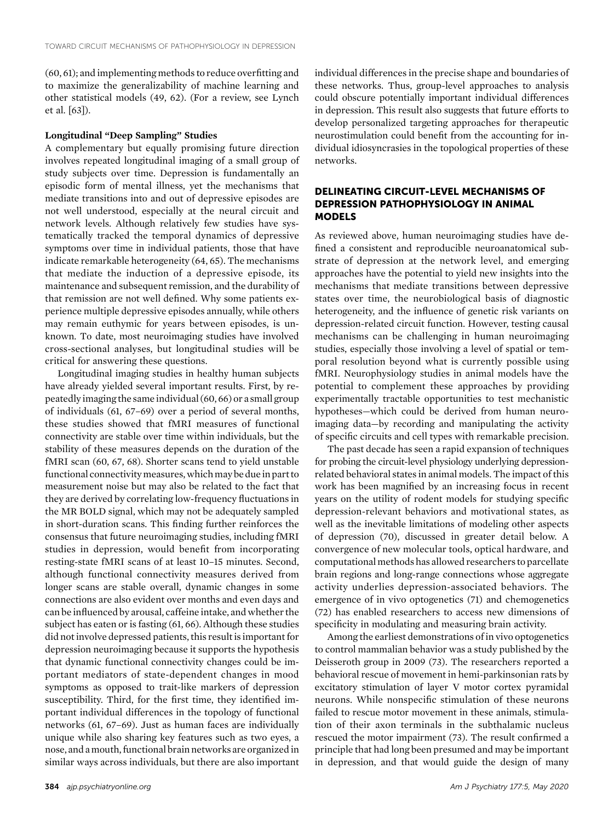(60, 61); and implementing methods to reduce overfitting and to maximize the generalizability of machine learning and other statistical models (49, 62). (For a review, see Lynch et al. [63]).

## Longitudinal "Deep Sampling" Studies

A complementary but equally promising future direction involves repeated longitudinal imaging of a small group of study subjects over time. Depression is fundamentally an episodic form of mental illness, yet the mechanisms that mediate transitions into and out of depressive episodes are not well understood, especially at the neural circuit and network levels. Although relatively few studies have systematically tracked the temporal dynamics of depressive symptoms over time in individual patients, those that have indicate remarkable heterogeneity (64, 65). The mechanisms that mediate the induction of a depressive episode, its maintenance and subsequent remission, and the durability of that remission are not well defined. Why some patients experience multiple depressive episodes annually, while others may remain euthymic for years between episodes, is unknown. To date, most neuroimaging studies have involved cross-sectional analyses, but longitudinal studies will be critical for answering these questions.

Longitudinal imaging studies in healthy human subjects have already yielded several important results. First, by repeatedly imaging the same individual (60, 66) or a small group of individuals (61, 67–69) over a period of several months, these studies showed that fMRI measures of functional connectivity are stable over time within individuals, but the stability of these measures depends on the duration of the fMRI scan (60, 67, 68). Shorter scans tend to yield unstable functional connectivity measures, which may be due in part to measurement noise but may also be related to the fact that they are derived by correlating low-frequency fluctuations in the MR BOLD signal, which may not be adequately sampled in short-duration scans. This finding further reinforces the consensus that future neuroimaging studies, including fMRI studies in depression, would benefit from incorporating resting-state fMRI scans of at least 10–15 minutes. Second, although functional connectivity measures derived from longer scans are stable overall, dynamic changes in some connections are also evident over months and even days and can be influenced by arousal, caffeine intake, and whether the subject has eaten or is fasting (61, 66). Although these studies did not involve depressed patients, this result is important for depression neuroimaging because it supports the hypothesis that dynamic functional connectivity changes could be important mediators of state-dependent changes in mood symptoms as opposed to trait-like markers of depression susceptibility. Third, for the first time, they identified important individual differences in the topology of functional networks (61, 67–69). Just as human faces are individually unique while also sharing key features such as two eyes, a nose, and amouth, functional brain networks are organized in similar ways across individuals, but there are also important individual differences in the precise shape and boundaries of these networks. Thus, group-level approaches to analysis could obscure potentially important individual differences in depression. This result also suggests that future efforts to develop personalized targeting approaches for therapeutic neurostimulation could benefit from the accounting for individual idiosyncrasies in the topological properties of these networks.

## DELINEATING CIRCUIT-LEVEL MECHANISMS OF DEPRESSION PATHOPHYSIOLOGY IN ANIMAL MODELS

As reviewed above, human neuroimaging studies have defined a consistent and reproducible neuroanatomical substrate of depression at the network level, and emerging approaches have the potential to yield new insights into the mechanisms that mediate transitions between depressive states over time, the neurobiological basis of diagnostic heterogeneity, and the influence of genetic risk variants on depression-related circuit function. However, testing causal mechanisms can be challenging in human neuroimaging studies, especially those involving a level of spatial or temporal resolution beyond what is currently possible using fMRI. Neurophysiology studies in animal models have the potential to complement these approaches by providing experimentally tractable opportunities to test mechanistic hypotheses—which could be derived from human neuroimaging data—by recording and manipulating the activity of specific circuits and cell types with remarkable precision.

The past decade has seen a rapid expansion of techniques for probing the circuit-level physiology underlying depressionrelated behavioral states in animal models. The impact of this work has been magnified by an increasing focus in recent years on the utility of rodent models for studying specific depression-relevant behaviors and motivational states, as well as the inevitable limitations of modeling other aspects of depression (70), discussed in greater detail below. A convergence of new molecular tools, optical hardware, and computational methods has allowed researchers to parcellate brain regions and long-range connections whose aggregate activity underlies depression-associated behaviors. The emergence of in vivo optogenetics (71) and chemogenetics (72) has enabled researchers to access new dimensions of specificity in modulating and measuring brain activity.

Among the earliest demonstrations of in vivo optogenetics to control mammalian behavior was a study published by the Deisseroth group in 2009 (73). The researchers reported a behavioral rescue of movement in hemi-parkinsonian rats by excitatory stimulation of layer V motor cortex pyramidal neurons. While nonspecific stimulation of these neurons failed to rescue motor movement in these animals, stimulation of their axon terminals in the subthalamic nucleus rescued the motor impairment (73). The result confirmed a principle that had long been presumed and may be important in depression, and that would guide the design of many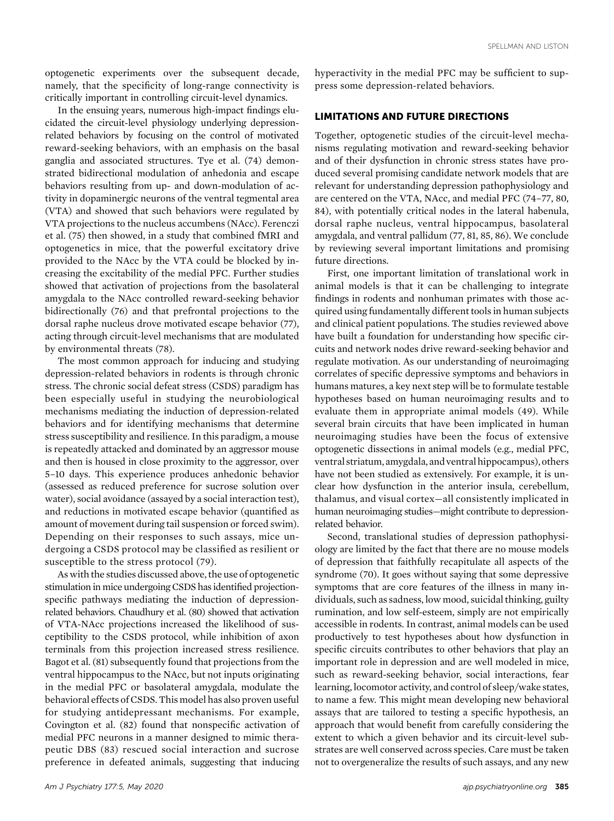optogenetic experiments over the subsequent decade, namely, that the specificity of long-range connectivity is critically important in controlling circuit-level dynamics.

In the ensuing years, numerous high-impact findings elucidated the circuit-level physiology underlying depressionrelated behaviors by focusing on the control of motivated reward-seeking behaviors, with an emphasis on the basal ganglia and associated structures. Tye et al. (74) demonstrated bidirectional modulation of anhedonia and escape behaviors resulting from up- and down-modulation of activity in dopaminergic neurons of the ventral tegmental area (VTA) and showed that such behaviors were regulated by VTA projections to the nucleus accumbens (NAcc). Ferenczi et al. (75) then showed, in a study that combined fMRI and optogenetics in mice, that the powerful excitatory drive provided to the NAcc by the VTA could be blocked by increasing the excitability of the medial PFC. Further studies showed that activation of projections from the basolateral amygdala to the NAcc controlled reward-seeking behavior bidirectionally (76) and that prefrontal projections to the dorsal raphe nucleus drove motivated escape behavior (77), acting through circuit-level mechanisms that are modulated by environmental threats (78).

The most common approach for inducing and studying depression-related behaviors in rodents is through chronic stress. The chronic social defeat stress (CSDS) paradigm has been especially useful in studying the neurobiological mechanisms mediating the induction of depression-related behaviors and for identifying mechanisms that determine stress susceptibility and resilience. In this paradigm, a mouse is repeatedly attacked and dominated by an aggressor mouse and then is housed in close proximity to the aggressor, over 5–10 days. This experience produces anhedonic behavior (assessed as reduced preference for sucrose solution over water), social avoidance (assayed by a social interaction test), and reductions in motivated escape behavior (quantified as amount of movement during tail suspension or forced swim). Depending on their responses to such assays, mice undergoing a CSDS protocol may be classified as resilient or susceptible to the stress protocol (79).

As with the studies discussed above, the use of optogenetic stimulation in mice undergoing CSDS has identified projectionspecific pathways mediating the induction of depressionrelated behaviors. Chaudhury et al. (80) showed that activation of VTA-NAcc projections increased the likelihood of susceptibility to the CSDS protocol, while inhibition of axon terminals from this projection increased stress resilience. Bagot et al. (81) subsequently found that projections from the ventral hippocampus to the NAcc, but not inputs originating in the medial PFC or basolateral amygdala, modulate the behavioral effects of CSDS. This model has also proven useful for studying antidepressant mechanisms. For example, Covington et al. (82) found that nonspecific activation of medial PFC neurons in a manner designed to mimic therapeutic DBS (83) rescued social interaction and sucrose preference in defeated animals, suggesting that inducing hyperactivity in the medial PFC may be sufficient to suppress some depression-related behaviors.

## LIMITATIONS AND FUTURE DIRECTIONS

Together, optogenetic studies of the circuit-level mechanisms regulating motivation and reward-seeking behavior and of their dysfunction in chronic stress states have produced several promising candidate network models that are relevant for understanding depression pathophysiology and are centered on the VTA, NAcc, and medial PFC (74–77, 80, 84), with potentially critical nodes in the lateral habenula, dorsal raphe nucleus, ventral hippocampus, basolateral amygdala, and ventral pallidum (77, 81, 85, 86). We conclude by reviewing several important limitations and promising future directions.

First, one important limitation of translational work in animal models is that it can be challenging to integrate findings in rodents and nonhuman primates with those acquired using fundamentally different tools in human subjects and clinical patient populations. The studies reviewed above have built a foundation for understanding how specific circuits and network nodes drive reward-seeking behavior and regulate motivation. As our understanding of neuroimaging correlates of specific depressive symptoms and behaviors in humans matures, a key next step will be to formulate testable hypotheses based on human neuroimaging results and to evaluate them in appropriate animal models (49). While several brain circuits that have been implicated in human neuroimaging studies have been the focus of extensive optogenetic dissections in animal models (e.g., medial PFC, ventral striatum, amygdala, and ventral hippocampus), others have not been studied as extensively. For example, it is unclear how dysfunction in the anterior insula, cerebellum, thalamus, and visual cortex—all consistently implicated in human neuroimaging studies—might contribute to depressionrelated behavior.

Second, translational studies of depression pathophysiology are limited by the fact that there are no mouse models of depression that faithfully recapitulate all aspects of the syndrome (70). It goes without saying that some depressive symptoms that are core features of the illness in many individuals, such as sadness, low mood, suicidal thinking, guilty rumination, and low self-esteem, simply are not empirically accessible in rodents. In contrast, animal models can be used productively to test hypotheses about how dysfunction in specific circuits contributes to other behaviors that play an important role in depression and are well modeled in mice, such as reward-seeking behavior, social interactions, fear learning, locomotor activity, and control of sleep/wake states, to name a few. This might mean developing new behavioral assays that are tailored to testing a specific hypothesis, an approach that would benefit from carefully considering the extent to which a given behavior and its circuit-level substrates are well conserved across species. Care must be taken not to overgeneralize the results of such assays, and any new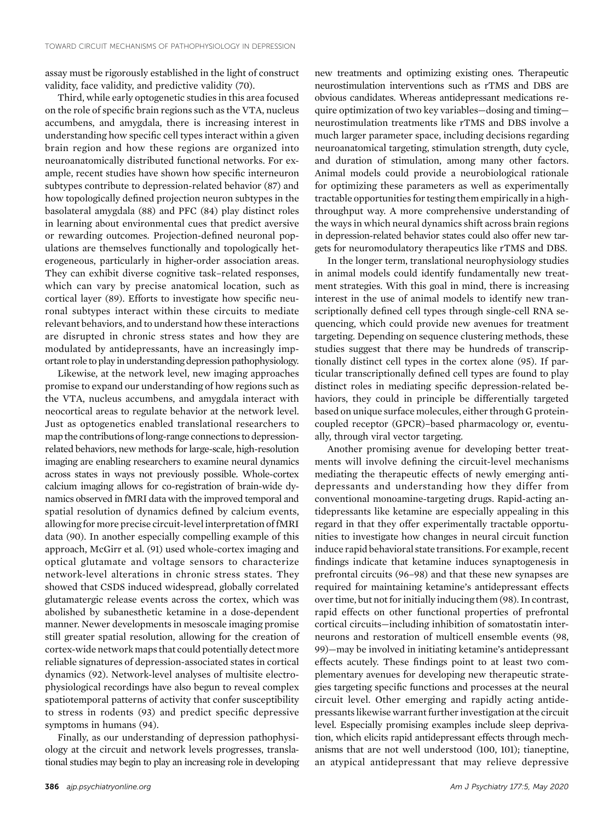assay must be rigorously established in the light of construct validity, face validity, and predictive validity (70).

Third, while early optogenetic studies in this area focused on the role of specific brain regions such as the VTA, nucleus accumbens, and amygdala, there is increasing interest in understanding how specific cell types interact within a given brain region and how these regions are organized into neuroanatomically distributed functional networks. For example, recent studies have shown how specific interneuron subtypes contribute to depression-related behavior (87) and how topologically defined projection neuron subtypes in the basolateral amygdala (88) and PFC (84) play distinct roles in learning about environmental cues that predict aversive or rewarding outcomes. Projection-defined neuronal populations are themselves functionally and topologically heterogeneous, particularly in higher-order association areas. They can exhibit diverse cognitive task–related responses, which can vary by precise anatomical location, such as cortical layer (89). Efforts to investigate how specific neuronal subtypes interact within these circuits to mediate relevant behaviors, and to understand how these interactions are disrupted in chronic stress states and how they are modulated by antidepressants, have an increasingly important role to play in understanding depression pathophysiology.

Likewise, at the network level, new imaging approaches promise to expand our understanding of how regions such as the VTA, nucleus accumbens, and amygdala interact with neocortical areas to regulate behavior at the network level. Just as optogenetics enabled translational researchers to map the contributions of long-range connections to depressionrelated behaviors, new methods for large-scale, high-resolution imaging are enabling researchers to examine neural dynamics across states in ways not previously possible. Whole-cortex calcium imaging allows for co-registration of brain-wide dynamics observed in fMRI data with the improved temporal and spatial resolution of dynamics defined by calcium events, allowing for more precise circuit-level interpretation of fMRI data (90). In another especially compelling example of this approach, McGirr et al. (91) used whole-cortex imaging and optical glutamate and voltage sensors to characterize network-level alterations in chronic stress states. They showed that CSDS induced widespread, globally correlated glutamatergic release events across the cortex, which was abolished by subanesthetic ketamine in a dose-dependent manner. Newer developments in mesoscale imaging promise still greater spatial resolution, allowing for the creation of cortex-wide networkmaps that could potentially detect more reliable signatures of depression-associated states in cortical dynamics (92). Network-level analyses of multisite electrophysiological recordings have also begun to reveal complex spatiotemporal patterns of activity that confer susceptibility to stress in rodents (93) and predict specific depressive symptoms in humans (94).

Finally, as our understanding of depression pathophysiology at the circuit and network levels progresses, translational studies may begin to play an increasing role in developing new treatments and optimizing existing ones. Therapeutic neurostimulation interventions such as rTMS and DBS are obvious candidates. Whereas antidepressant medications require optimization of two key variables—dosing and timing neurostimulation treatments like rTMS and DBS involve a much larger parameter space, including decisions regarding neuroanatomical targeting, stimulation strength, duty cycle, and duration of stimulation, among many other factors. Animal models could provide a neurobiological rationale for optimizing these parameters as well as experimentally tractable opportunities for testing them empirically in a highthroughput way. A more comprehensive understanding of the ways in which neural dynamics shift across brain regions in depression-related behavior states could also offer new targets for neuromodulatory therapeutics like rTMS and DBS.

In the longer term, translational neurophysiology studies in animal models could identify fundamentally new treatment strategies. With this goal in mind, there is increasing interest in the use of animal models to identify new transcriptionally defined cell types through single-cell RNA sequencing, which could provide new avenues for treatment targeting. Depending on sequence clustering methods, these studies suggest that there may be hundreds of transcriptionally distinct cell types in the cortex alone (95). If particular transcriptionally defined cell types are found to play distinct roles in mediating specific depression-related behaviors, they could in principle be differentially targeted based on unique surface molecules, either through G proteincoupled receptor (GPCR)–based pharmacology or, eventually, through viral vector targeting.

Another promising avenue for developing better treatments will involve defining the circuit-level mechanisms mediating the therapeutic effects of newly emerging antidepressants and understanding how they differ from conventional monoamine-targeting drugs. Rapid-acting antidepressants like ketamine are especially appealing in this regard in that they offer experimentally tractable opportunities to investigate how changes in neural circuit function induce rapid behavioral state transitions. For example, recent findings indicate that ketamine induces synaptogenesis in prefrontal circuits (96–98) and that these new synapses are required for maintaining ketamine's antidepressant effects over time, but not for initially inducing them (98). In contrast, rapid effects on other functional properties of prefrontal cortical circuits—including inhibition of somatostatin interneurons and restoration of multicell ensemble events (98, 99)—may be involved in initiating ketamine's antidepressant effects acutely. These findings point to at least two complementary avenues for developing new therapeutic strategies targeting specific functions and processes at the neural circuit level. Other emerging and rapidly acting antidepressants likewise warrant further investigation at the circuit level. Especially promising examples include sleep deprivation, which elicits rapid antidepressant effects through mechanisms that are not well understood (100, 101); tianeptine, an atypical antidepressant that may relieve depressive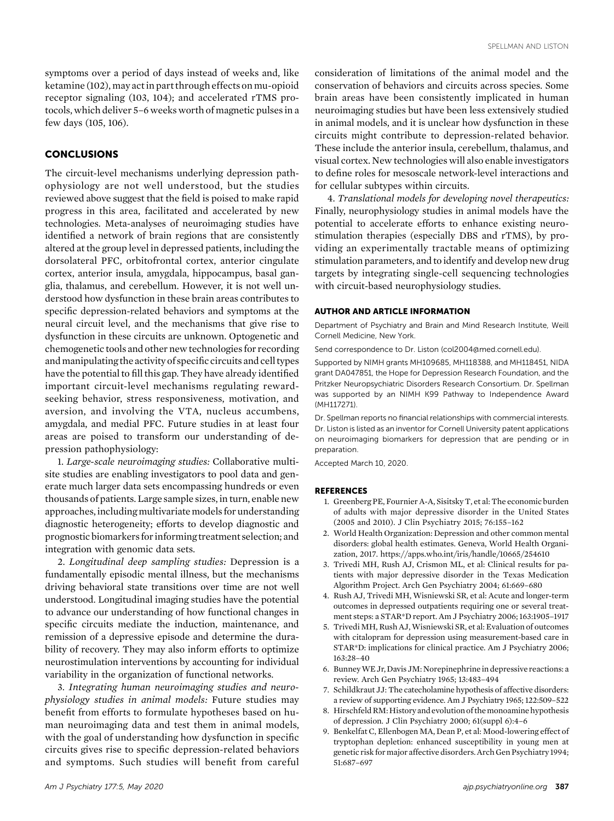symptoms over a period of days instead of weeks and, like ketamine (102), may act in part through effects on mu-opioid receptor signaling (103, 104); and accelerated rTMS protocols, which deliver 5–6 weeks worth of magnetic pulses in a few days (105, 106).

## **CONCLUSIONS**

The circuit-level mechanisms underlying depression pathophysiology are not well understood, but the studies reviewed above suggest that the field is poised to make rapid progress in this area, facilitated and accelerated by new technologies. Meta-analyses of neuroimaging studies have identified a network of brain regions that are consistently altered at the group level in depressed patients, including the dorsolateral PFC, orbitofrontal cortex, anterior cingulate cortex, anterior insula, amygdala, hippocampus, basal ganglia, thalamus, and cerebellum. However, it is not well understood how dysfunction in these brain areas contributes to specific depression-related behaviors and symptoms at the neural circuit level, and the mechanisms that give rise to dysfunction in these circuits are unknown. Optogenetic and chemogenetic tools and other new technologies for recording and manipulating the activity of specific circuits and cell types have the potential to fill this gap. They have already identified important circuit-level mechanisms regulating rewardseeking behavior, stress responsiveness, motivation, and aversion, and involving the VTA, nucleus accumbens, amygdala, and medial PFC. Future studies in at least four areas are poised to transform our understanding of depression pathophysiology:

1. Large-scale neuroimaging studies: Collaborative multisite studies are enabling investigators to pool data and generate much larger data sets encompassing hundreds or even thousands of patients. Large sample sizes, in turn, enable new approaches, including multivariate models for understanding diagnostic heterogeneity; efforts to develop diagnostic and prognostic biomarkers for informing treatment selection; and integration with genomic data sets.

2. Longitudinal deep sampling studies: Depression is a fundamentally episodic mental illness, but the mechanisms driving behavioral state transitions over time are not well understood. Longitudinal imaging studies have the potential to advance our understanding of how functional changes in specific circuits mediate the induction, maintenance, and remission of a depressive episode and determine the durability of recovery. They may also inform efforts to optimize neurostimulation interventions by accounting for individual variability in the organization of functional networks.

3. Integrating human neuroimaging studies and neurophysiology studies in animal models: Future studies may benefit from efforts to formulate hypotheses based on human neuroimaging data and test them in animal models, with the goal of understanding how dysfunction in specific circuits gives rise to specific depression-related behaviors and symptoms. Such studies will benefit from careful

consideration of limitations of the animal model and the conservation of behaviors and circuits across species. Some brain areas have been consistently implicated in human neuroimaging studies but have been less extensively studied in animal models, and it is unclear how dysfunction in these circuits might contribute to depression-related behavior. These include the anterior insula, cerebellum, thalamus, and visual cortex. New technologies will also enable investigators to define roles for mesoscale network-level interactions and for cellular subtypes within circuits.

4. Translational models for developing novel therapeutics: Finally, neurophysiology studies in animal models have the potential to accelerate efforts to enhance existing neurostimulation therapies (especially DBS and rTMS), by providing an experimentally tractable means of optimizing stimulation parameters, and to identify and develop new drug targets by integrating single-cell sequencing technologies with circuit-based neurophysiology studies.

#### AUTHOR AND ARTICLE INFORMATION

Department of Psychiatry and Brain and Mind Research Institute, Weill Cornell Medicine, New York.

Send correspondence to Dr. Liston [\(col2004@med.cornell.edu\)](mailto:col2004@med.cornell.edu).

Supported by NIMH grants MH109685, MH118388, and MH118451, NIDA grant DA047851, the Hope for Depression Research Foundation, and the Pritzker Neuropsychiatric Disorders Research Consortium. Dr. Spellman was supported by an NIMH K99 Pathway to Independence Award (MH117271).

Dr. Spellman reports no financial relationships with commercial interests. Dr. Liston is listed as an inventor for Cornell University patent applications on neuroimaging biomarkers for depression that are pending or in preparation.

Accepted March 10, 2020.

#### **REFERENCES**

- 1. Greenberg PE, Fournier A-A, Sisitsky T, et al: The economic burden of adults with major depressive disorder in the United States (2005 and 2010). J Clin Psychiatry 2015; 76:155–162
- 2. World Health Organization: Depression and other common mental disorders: global health estimates. Geneva, World Health Organization, 2017.<https://apps.who.int/iris/handle/10665/254610>
- 3. Trivedi MH, Rush AJ, Crismon ML, et al: Clinical results for patients with major depressive disorder in the Texas Medication Algorithm Project. Arch Gen Psychiatry 2004; 61:669–680
- 4. Rush AJ, Trivedi MH, Wisniewski SR, et al: Acute and longer-term outcomes in depressed outpatients requiring one or several treatment steps: a STAR\*D report. Am J Psychiatry 2006; 163:1905–1917
- 5. Trivedi MH, Rush AJ, Wisniewski SR, et al: Evaluation of outcomes with citalopram for depression using measurement-based care in STAR\*D: implications for clinical practice. Am J Psychiatry 2006; 163:28–40
- 6. BunneyWE Jr, Davis JM: Norepinephrinein depressive reactions: a review. Arch Gen Psychiatry 1965; 13:483–494
- 7. Schildkraut JJ: The catecholamine hypothesis of affective disorders: a review of supporting evidence. Am J Psychiatry 1965; 122:509–522
- 8. Hirschfeld RM: History and evolution of the monoamine hypothesis of depression. J Clin Psychiatry 2000; 61(suppl 6):4–6
- 9. Benkelfat C, Ellenbogen MA, Dean P, et al: Mood-lowering effect of tryptophan depletion: enhanced susceptibility in young men at genetic risk for major affective disorders.Arch Gen Psychiatry 1994; 51:687–697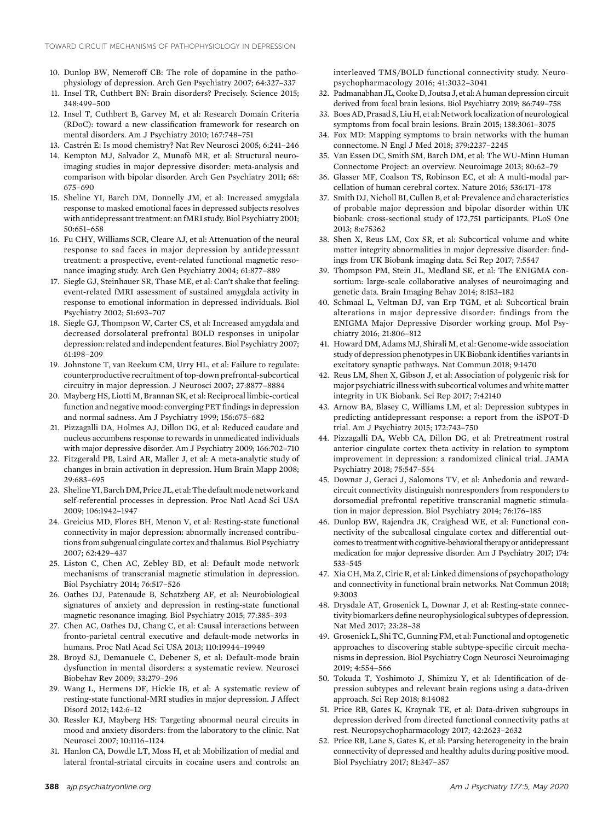- 10. Dunlop BW, Nemeroff CB: The role of dopamine in the pathophysiology of depression. Arch Gen Psychiatry 2007; 64:327–337
- 11. Insel TR, Cuthbert BN: Brain disorders? Precisely. Science 2015; 348:499–500
- 12. Insel T, Cuthbert B, Garvey M, et al: Research Domain Criteria (RDoC): toward a new classification framework for research on mental disorders. Am J Psychiatry 2010; 167:748–751
- 13. Castrén E: Is mood chemistry? Nat Rev Neurosci 2005; 6:241–246
- 14. Kempton MJ, Salvador Z, Munafò MR, et al: Structural neuroimaging studies in major depressive disorder: meta-analysis and comparison with bipolar disorder. Arch Gen Psychiatry 2011; 68: 675–690
- 15. Sheline YI, Barch DM, Donnelly JM, et al: Increased amygdala response to masked emotional faces in depressed subjects resolves with antidepressant treatment: an fMRI study. Biol Psychiatry 2001; 50:651–658
- 16. Fu CHY, Williams SCR, Cleare AJ, et al: Attenuation of the neural response to sad faces in major depression by antidepressant treatment: a prospective, event-related functional magnetic resonance imaging study. Arch Gen Psychiatry 2004; 61:877–889
- 17. Siegle GJ, Steinhauer SR, Thase ME, et al: Can't shake that feeling: event-related fMRI assessment of sustained amygdala activity in response to emotional information in depressed individuals. Biol Psychiatry 2002; 51:693–707
- 18. Siegle GJ, Thompson W, Carter CS, et al: Increased amygdala and decreased dorsolateral prefrontal BOLD responses in unipolar depression: related and independent features. Biol Psychiatry 2007; 61:198–209
- 19. Johnstone T, van Reekum CM, Urry HL, et al: Failure to regulate: counterproductive recruitment of top-down prefrontal-subcortical circuitry in major depression. J Neurosci 2007; 27:8877–8884
- 20. Mayberg HS, Liotti M, Brannan SK, et al: Reciprocal limbic-cortical function and negative mood: converging PET findings in depression and normal sadness. Am J Psychiatry 1999; 156:675–682
- 21. Pizzagalli DA, Holmes AJ, Dillon DG, et al: Reduced caudate and nucleus accumbens response to rewards in unmedicated individuals with major depressive disorder. Am J Psychiatry 2009; 166:702–710
- 22. Fitzgerald PB, Laird AR, Maller J, et al: A meta-analytic study of changes in brain activation in depression. Hum Brain Mapp 2008; 29:683–695
- 23. Sheline YI, Barch DM, Price JL, et al: The default mode network and self-referential processes in depression. Proc Natl Acad Sci USA 2009; 106:1942–1947
- 24. Greicius MD, Flores BH, Menon V, et al: Resting-state functional connectivity in major depression: abnormally increased contributions from subgenual cingulate cortex and thalamus. Biol Psychiatry 2007; 62:429–437
- 25. Liston C, Chen AC, Zebley BD, et al: Default mode network mechanisms of transcranial magnetic stimulation in depression. Biol Psychiatry 2014; 76:517–526
- 26. Oathes DJ, Patenaude B, Schatzberg AF, et al: Neurobiological signatures of anxiety and depression in resting-state functional magnetic resonance imaging. Biol Psychiatry 2015; 77:385–393
- 27. Chen AC, Oathes DJ, Chang C, et al: Causal interactions between fronto-parietal central executive and default-mode networks in humans. Proc Natl Acad Sci USA 2013; 110:19944–19949
- 28. Broyd SJ, Demanuele C, Debener S, et al: Default-mode brain dysfunction in mental disorders: a systematic review. Neurosci Biobehav Rev 2009; 33:279–296
- 29. Wang L, Hermens DF, Hickie IB, et al: A systematic review of resting-state functional-MRI studies in major depression. J Affect Disord 2012; 142:6–12
- 30. Ressler KJ, Mayberg HS: Targeting abnormal neural circuits in mood and anxiety disorders: from the laboratory to the clinic. Nat Neurosci 2007; 10:1116–1124
- 31. Hanlon CA, Dowdle LT, Moss H, et al: Mobilization of medial and lateral frontal-striatal circuits in cocaine users and controls: an

interleaved TMS/BOLD functional connectivity study. Neuropsychopharmacology 2016; 41:3032–3041

- 32. Padmanabhan JL,Cooke D, Joutsa J, et al: A human depression circuit derived from focal brain lesions. Biol Psychiatry 2019; 86:749–758
- 33. Boes AD, Prasad S, Liu H, et al: Network localization of neurological symptoms from focal brain lesions. Brain 2015; 138:3061–3075
- 34. Fox MD: Mapping symptoms to brain networks with the human connectome. N Engl J Med 2018; 379:2237–2245
- 35. Van Essen DC, Smith SM, Barch DM, et al: The WU-Minn Human Connectome Project: an overview. Neuroimage 2013; 80:62–79
- 36. Glasser MF, Coalson TS, Robinson EC, et al: A multi-modal parcellation of human cerebral cortex. Nature 2016; 536:171–178
- 37. Smith DJ, Nicholl BI, Cullen B, et al: Prevalence and characteristics of probable major depression and bipolar disorder within UK biobank: cross-sectional study of 172,751 participants. PLoS One 2013; 8:e75362
- 38. Shen X, Reus LM, Cox SR, et al: Subcortical volume and white matter integrity abnormalities in major depressive disorder: findings from UK Biobank imaging data. Sci Rep 2017; 7:5547
- 39. Thompson PM, Stein JL, Medland SE, et al: The ENIGMA consortium: large-scale collaborative analyses of neuroimaging and genetic data. Brain Imaging Behav 2014; 8:153–182
- 40. Schmaal L, Veltman DJ, van Erp TGM, et al: Subcortical brain alterations in major depressive disorder: findings from the ENIGMA Major Depressive Disorder working group. Mol Psychiatry 2016; 21:806–812
- 41. Howard DM, Adams MJ, Shirali M, et al: Genome-wide association study of depression phenotypes in UK Biobank identifies variants in excitatory synaptic pathways. Nat Commun 2018; 9:1470
- 42. Reus LM, Shen X, Gibson J, et al: Association of polygenic risk for major psychiatric illness with subcortical volumes and white matter integrity in UK Biobank. Sci Rep 2017; 7:42140
- 43. Arnow BA, Blasey C, Williams LM, et al: Depression subtypes in predicting antidepressant response: a report from the iSPOT-D trial. Am J Psychiatry 2015; 172:743–750
- 44. Pizzagalli DA, Webb CA, Dillon DG, et al: Pretreatment rostral anterior cingulate cortex theta activity in relation to symptom improvement in depression: a randomized clinical trial. JAMA Psychiatry 2018; 75:547–554
- 45. Downar J, Geraci J, Salomons TV, et al: Anhedonia and rewardcircuit connectivity distinguish nonresponders from responders to dorsomedial prefrontal repetitive transcranial magnetic stimulation in major depression. Biol Psychiatry 2014; 76:176–185
- 46. Dunlop BW, Rajendra JK, Craighead WE, et al: Functional connectivity of the subcallosal cingulate cortex and differential outcomes to treatment with cognitive-behavioral therapy or antidepressant medication for major depressive disorder. Am J Psychiatry 2017; 174: 533–545
- 47. Xia CH, Ma Z, Ciric R, et al: Linked dimensions of psychopathology and connectivity in functional brain networks. Nat Commun 2018; 9:3003
- 48. Drysdale AT, Grosenick L, Downar J, et al: Resting-state connectivity biomarkers define neurophysiological subtypes of depression. Nat Med 2017; 23:28–38
- 49. Grosenick L, Shi TC, Gunning FM, et al: Functional and optogenetic approaches to discovering stable subtype-specific circuit mechanisms in depression. Biol Psychiatry Cogn Neurosci Neuroimaging 2019; 4:554–566
- 50. Tokuda T, Yoshimoto J, Shimizu Y, et al: Identification of depression subtypes and relevant brain regions using a data-driven approach. Sci Rep 2018; 8:14082
- 51. Price RB, Gates K, Kraynak TE, et al: Data-driven subgroups in depression derived from directed functional connectivity paths at rest. Neuropsychopharmacology 2017; 42:2623–2632
- 52. Price RB, Lane S, Gates K, et al: Parsing heterogeneity in the brain connectivity of depressed and healthy adults during positive mood. Biol Psychiatry 2017; 81:347–357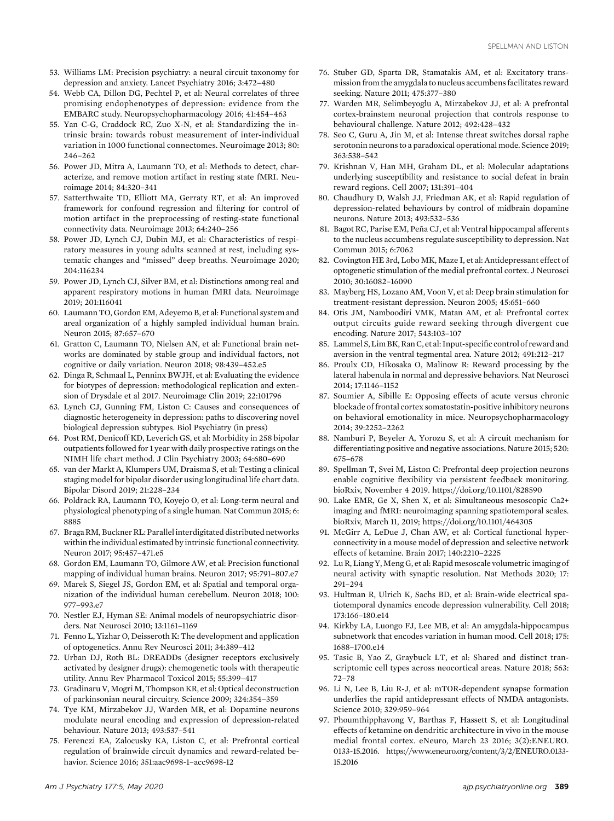- 53. Williams LM: Precision psychiatry: a neural circuit taxonomy for depression and anxiety. Lancet Psychiatry 2016; 3:472–480
- 54. Webb CA, Dillon DG, Pechtel P, et al: Neural correlates of three promising endophenotypes of depression: evidence from the EMBARC study. Neuropsychopharmacology 2016; 41:454–463
- 55. Yan C-G, Craddock RC, Zuo X-N, et al: Standardizing the intrinsic brain: towards robust measurement of inter-individual variation in 1000 functional connectomes. Neuroimage 2013; 80: 246–262
- 56. Power JD, Mitra A, Laumann TO, et al: Methods to detect, characterize, and remove motion artifact in resting state fMRI. Neuroimage 2014; 84:320–341
- 57. Satterthwaite TD, Elliott MA, Gerraty RT, et al: An improved framework for confound regression and filtering for control of motion artifact in the preprocessing of resting-state functional connectivity data. Neuroimage 2013; 64:240–256
- 58. Power JD, Lynch CJ, Dubin MJ, et al: Characteristics of respiratory measures in young adults scanned at rest, including systematic changes and "missed" deep breaths. Neuroimage 2020; 204:116234
- 59. Power JD, Lynch CJ, Silver BM, et al: Distinctions among real and apparent respiratory motions in human fMRI data. Neuroimage 2019; 201:116041
- 60. Laumann TO, Gordon EM, Adeyemo B, et al: Functional system and areal organization of a highly sampled individual human brain. Neuron 2015; 87:657–670
- 61. Gratton C, Laumann TO, Nielsen AN, et al: Functional brain networks are dominated by stable group and individual factors, not cognitive or daily variation. Neuron 2018; 98:439–452.e5
- 62. Dinga R, Schmaal L, Penninx BWJH, et al: Evaluating the evidence for biotypes of depression: methodological replication and extension of Drysdale et al 2017. Neuroimage Clin 2019; 22:101796
- 63. Lynch CJ, Gunning FM, Liston C: Causes and consequences of diagnostic heterogeneity in depression: paths to discovering novel biological depression subtypes. Biol Psychiatry (in press)
- 64. Post RM, Denicoff KD, Leverich GS, et al: Morbidity in 258 bipolar outpatients followed for 1 year with daily prospective ratings on the NIMH life chart method. J Clin Psychiatry 2003; 64:680–690
- 65. van der Markt A, Klumpers UM, Draisma S, et al: Testing a clinical staging model for bipolar disorder using longitudinal life chart data. Bipolar Disord 2019; 21:228–234
- 66. Poldrack RA, Laumann TO, Koyejo O, et al: Long-term neural and physiological phenotyping of a single human. Nat Commun 2015; 6: 8885
- 67. Braga RM, Buckner RL: Parallelinterdigitated distributed networks within the individual estimated by intrinsic functional connectivity. Neuron 2017; 95:457–471.e5
- 68. Gordon EM, Laumann TO, Gilmore AW, et al: Precision functional mapping of individual human brains. Neuron 2017; 95:791–807.e7
- 69. Marek S, Siegel JS, Gordon EM, et al: Spatial and temporal organization of the individual human cerebellum. Neuron 2018; 100: 977–993.e7
- 70. Nestler EJ, Hyman SE: Animal models of neuropsychiatric disorders. Nat Neurosci 2010; 13:1161–1169
- 71. Fenno L, Yizhar O, Deisseroth K: The development and application of optogenetics. Annu Rev Neurosci 2011; 34:389–412
- 72. Urban DJ, Roth BL: DREADDs (designer receptors exclusively activated by designer drugs): chemogenetic tools with therapeutic utility. Annu Rev Pharmacol Toxicol 2015; 55:399–417
- 73. Gradinaru V, Mogri M, Thompson KR, et al: Optical deconstruction of parkinsonian neural circuitry. Science 2009; 324:354–359
- 74. Tye KM, Mirzabekov JJ, Warden MR, et al: Dopamine neurons modulate neural encoding and expression of depression-related behaviour. Nature 2013; 493:537–541
- 75. Ferenczi EA, Zalocusky KA, Liston C, et al: Prefrontal cortical regulation of brainwide circuit dynamics and reward-related behavior. Science 2016; 351:aac9698-1–acc9698-12
- 76. Stuber GD, Sparta DR, Stamatakis AM, et al: Excitatory transmission from the amygdala to nucleus accumbens facilitates reward seeking. Nature 2011; 475:377–380
- 77. Warden MR, Selimbeyoglu A, Mirzabekov JJ, et al: A prefrontal cortex-brainstem neuronal projection that controls response to behavioural challenge. Nature 2012; 492:428–432
- 78. Seo C, Guru A, Jin M, et al: Intense threat switches dorsal raphe serotonin neurons to a paradoxical operational mode. Science 2019; 363:538–542
- 79. Krishnan V, Han MH, Graham DL, et al: Molecular adaptations underlying susceptibility and resistance to social defeat in brain reward regions. Cell 2007; 131:391–404
- 80. Chaudhury D, Walsh JJ, Friedman AK, et al: Rapid regulation of depression-related behaviours by control of midbrain dopamine neurons. Nature 2013; 493:532–536
- 81. Bagot RC, Parise EM, Peña CJ, et al: Ventral hippocampal afferents to the nucleus accumbens regulate susceptibility to depression. Nat Commun 2015; 6:7062
- 82. Covington HE 3rd, Lobo MK, Maze I, et al: Antidepressant effect of optogenetic stimulation of the medial prefrontal cortex. J Neurosci 2010; 30:16082–16090
- 83. Mayberg HS, Lozano AM, Voon V, et al: Deep brain stimulation for treatment-resistant depression. Neuron 2005; 45:651–660
- 84. Otis JM, Namboodiri VMK, Matan AM, et al: Prefrontal cortex output circuits guide reward seeking through divergent cue encoding. Nature 2017; 543:103–107
- 85. Lammel S, Lim BK, Ran C, et al: Input-specific control of reward and aversion in the ventral tegmental area. Nature 2012; 491:212–217
- 86. Proulx CD, Hikosaka O, Malinow R: Reward processing by the lateral habenula in normal and depressive behaviors. Nat Neurosci 2014; 17:1146–1152
- 87. Soumier A, Sibille E: Opposing effects of acute versus chronic blockade of frontal cortex somatostatin-positive inhibitory neurons on behavioral emotionality in mice. Neuropsychopharmacology 2014; 39:2252–2262
- 88. Namburi P, Beyeler A, Yorozu S, et al: A circuit mechanism for differentiating positive and negative associations. Nature 2015; 520: 675–678
- 89. Spellman T, Svei M, Liston C: Prefrontal deep projection neurons enable cognitive flexibility via persistent feedback monitoring. bioRxiv, November 4 2019.<https://doi.org/10.1101/828590>
- 90. Lake EMR, Ge X, Shen X, et al: Simultaneous mesoscopic Ca2+ imaging and fMRI: neuroimaging spanning spatiotemporal scales. bioRxiv, March 11, 2019;<https://doi.org/10.1101/464305>
- 91. McGirr A, LeDue J, Chan AW, et al: Cortical functional hyperconnectivity in a mouse model of depression and selective network effects of ketamine. Brain 2017; 140:2210–2225
- 92. Lu R, Liang Y, Meng G, et al: Rapid mesoscale volumetric imaging of neural activity with synaptic resolution. Nat Methods 2020; 17: 291–294
- 93. Hultman R, Ulrich K, Sachs BD, et al: Brain-wide electrical spatiotemporal dynamics encode depression vulnerability. Cell 2018; 173:166–180.e14
- 94. Kirkby LA, Luongo FJ, Lee MB, et al: An amygdala-hippocampus subnetwork that encodes variation in human mood. Cell 2018; 175: 1688–1700.e14
- 95. Tasic B, Yao Z, Graybuck LT, et al: Shared and distinct transcriptomic cell types across neocortical areas. Nature 2018; 563: 72–78
- 96. Li N, Lee B, Liu R-J, et al: mTOR-dependent synapse formation underlies the rapid antidepressant effects of NMDA antagonists. Science 2010; 329:959–964
- 97. Phoumthipphavong V, Barthas F, Hassett S, et al: Longitudinal effects of ketamine on dendritic architecture in vivo in the mouse medial frontal cortex. eNeuro, March 23 2016; 3(2):ENEURO. 0133-15.2016. [https://www.eneuro.org/content/3/2/ENEURO.0133-](https://www.eneuro.org/content/3/2/ENEURO.0133-15.2016) [15.2016](https://www.eneuro.org/content/3/2/ENEURO.0133-15.2016)